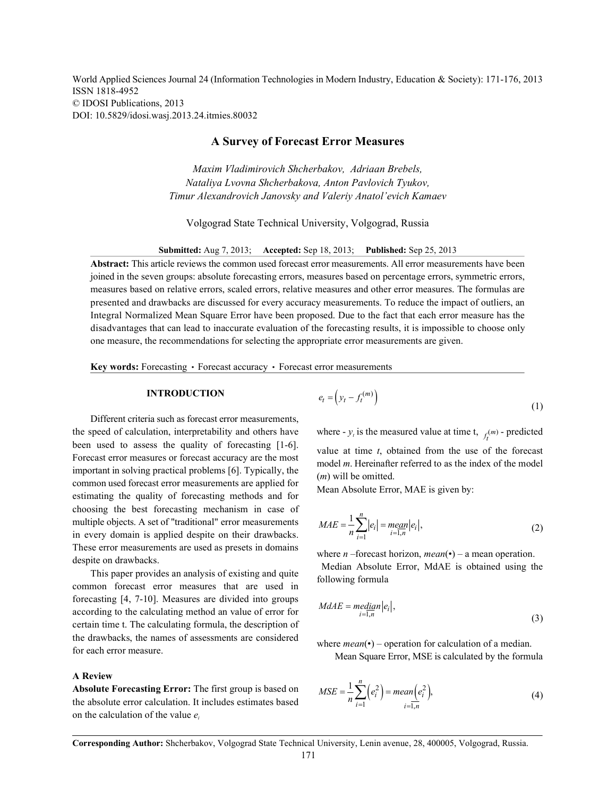World Applied Sciences Journal 24 (Information Technologies in Modern Industry, Education & Society): 171-176, 2013 ISSN 1818-4952 © IDOSI Publications, 2013 DOI: 10.5829/idosi.wasj.2013.24.itmies.80032

# **A Survey of Forecast Error Measures**

*Maxim Vladimirovich Shcherbakov, Adriaan Brebels, Nataliya Lvovna Shcherbakova, Anton Pavlovich Tyukov, Timur Alexandrovich Janovsky and Valeriy Anatol'evich Kamaev*

Volgograd State Technical University, Volgograd, Russia

**Submitted:** Aug 7, 2013; **Accepted:** Sep 18, 2013; **Published:** Sep 25, 2013

**Abstract:** This article reviews the common used forecast error measurements. All error measurements have been joined in the seven groups: absolute forecasting errors, measures based on percentage errors, symmetric errors, measures based on relative errors, scaled errors, relative measures and other error measures. The formulas are presented and drawbacks are discussed for every accuracy measurements. To reduce the impact of outliers, an Integral Normalized Mean Square Error have been proposed. Due to the fact that each error measure has the disadvantages that can lead to inaccurate evaluation of the forecasting results, it is impossible to choose only one measure, the recommendations for selecting the appropriate error measurements are given.

**Key words:** Forecasting • Forecast accuracy • Forecast error measurements

## **INTRODUCTION**

the speed of calculation, interpretability and others have where  $-y_t$  is the measured value at time t,  $f_t^{(m)}$  - predicted Different criteria such as forecast error measurements, been used to assess the quality of forecasting [1-6]. Forecast error measures or forecast accuracy are the most important in solving practical problems [6]. Typically, the common used forecast error measurements are applied for estimating the quality of forecasting methods and for choosing the best forecasting mechanism in case of multiple objects. A set of "traditional" error measurements in every domain is applied despite on their drawbacks. These error measurements are used as presets in domains despite on drawbacks.

This paper provides an analysis of existing and quite common forecast error measures that are used in forecasting [4, 7-10]. Measures are divided into groups according to the calculating method an value of error for certain time t. The calculating formula, the description of the drawbacks, the names of assessments are considered for each error measure.

### **A Review**

**Absolute Forecasting Error:** The first group is based on the absolute error calculation. It includes estimates based on the calculation of the value *ei*

$$
e_t = \left(y_t - f_t^{(m)}\right) \tag{1}
$$

value at time *t*, obtained from the use of the forecast model *m*. Hereinafter referred to as the index of the model (*m*) will be omitted.

Mean Absolute Error, MAE is given by:

$$
MAE = \frac{1}{n} \sum_{i=1}^{n} |e_i| = \underset{i=1, n}{\text{mean}} |e_i|,
$$
\n(2)

where *n* –forecast horizon, *mean*(•) – a mean operation.

 Median Absolute Error, MdAE is obtained using the following formula

$$
M dAE = \underset{i=1,n}{\text{median}} |e_i|,\tag{3}
$$

where  $mean(\cdot)$  – operation for calculation of a median.

Mean Square Error, MSE is calculated by the formula

$$
MSE = \frac{1}{n} \sum_{i=1}^{n} \left(e_i^2\right) = mean\left(e_i^2\right),\tag{4}
$$

**Corresponding Author:** Shcherbakov, Volgograd State Technical University, Lenin avenue, 28, 400005, Volgograd, Russia.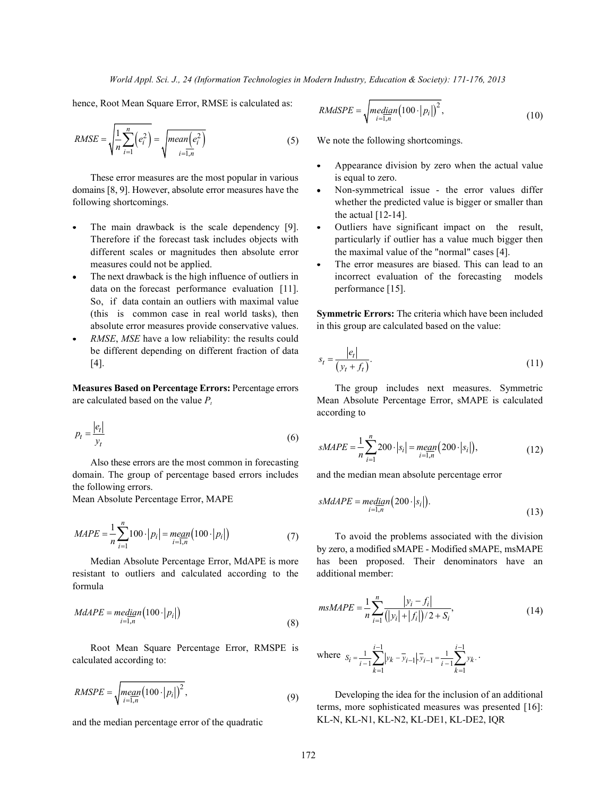hence, Root Mean Square Error, RMSE is calculated as:

$$
RMSE = \sqrt{\frac{1}{n} \sum_{i=1}^{n} (e_i^2)} = \sqrt{mean(e_i^2) \tag{5}
$$

These error measures are the most popular in various is equal to zero. domains  $[8, 9]$ . However, absolute error measures have the  $\bullet$  Non-symmetrical issue - the error values differ following shortcomings. The state of the predicted value is bigger or smaller than than than the predicted value is bigger or smaller than

- The main drawback is the scale dependency [9]. Outliers have significant impact on the result, different scales or magnitudes then absolute error the maximal value of the "normal" cases [4]. measures could not be applied.  $\bullet$  The error measures are biased. This can lead to an
- data on the forecast performance evaluation [11]. performance [15]. So, if data contain an outliers with maximal value (this is common case in real world tasks), then **Symmetric Errors:** The criteria which have been included absolute error measures provide conservative values. in this group are calculated based on the value:
- *RMSE*, *MSE* have a low reliability: the results could be different depending on different fraction of data

are calculated based on the value *P<sub>t</sub>* Mean Absolute Percentage Error, sMAPE is calculated

$$
p_t = \frac{|e_t|}{y_t} \tag{6}
$$

Also these errors are the most common in forecasting domain. The group of percentage based errors includes and the median mean absolute percentage error the following errors.

Mean Absolute Percentage Error, MAPE

$$
MAPE = \frac{1}{n} \sum_{i=1}^{n} 100 \cdot |p_i| = \underset{i=1, n}{\text{mean}} (100 \cdot |p_i|) \tag{7}
$$

resistant to outliers and calculated according to the additional member: formula

$$
MdAPE = median(100 \cdot |p_i|)
$$
\n(8)

Root Mean Square Percentage Error, RMSPE is calculated according to:

$$
RMSPE = \sqrt{\underset{i=1,n}{\text{mean}(100 \cdot |p_i|)}^2},\tag{9}
$$

and the median percentage error of the quadratic

$$
RMdSPE = \sqrt{median(100 \cdot |p_i|)^2},\tag{10}
$$

We note the following shortcomings.

- Appearance division by zero when the actual value
- the actual [12-14].
- Therefore if the forecast task includes objects with particularly if outlier has a value much bigger then
- The next drawback is the high influence of outliers in incorrect evaluation of the forecasting models

be different depending on different fraction of data 
$$
s_t = \frac{|e_t|}{(y_t + f_t)}.
$$
 (11)

**Measures Based on Percentage Errors:** Percentage errors The group includes next measures. Symmetric according to

$$
sMAPE = \frac{1}{n} \sum_{i=1}^{n} 200 \cdot |s_i| = \underset{i=1,n}{\text{mean}} (200 \cdot |s_i|),
$$
\n(12)

$$
sM dAPE = median (200 \cdot |s_i|). \tag{13}
$$

To avoid the problems associated with the division Median Absolute Percentage Error, MdAPE is more has been proposed. Their denominators have an by zero, a modified sMAPE - Modified sMAPE, msMAPE

$$
msMAPE = \frac{1}{n} \sum_{i=1}^{n} \frac{|y_i - f_i|}{(|y_i| + |f_i|)/2 + S_i},
$$
\n(14)

where 
$$
S_i = \frac{1}{i-1} \sum_{k=1}^{i-1} |y_k - \overline{y}_{i-1}|, \overline{y}_{i-1} = \frac{1}{i-1} \sum_{k=1}^{i-1} y_k.
$$

Developing the idea for the inclusion of an additional terms, more sophisticated measures was presented [16]: KL-N, KL-N1, KL-N2, KL-DE1, KL-DE2, IQR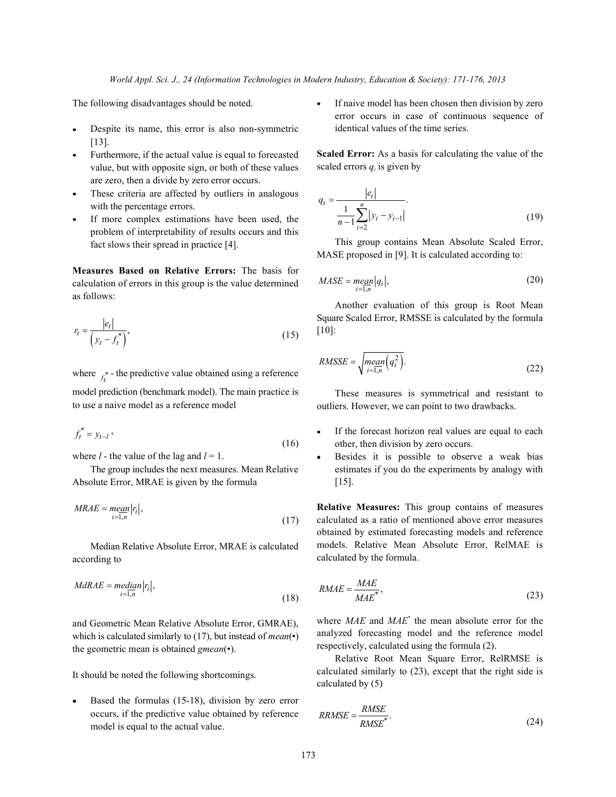- Despite its name, this error is also non-symmetric  $\bullet$ [13].
- Furthermore, if the actual value is equal to forecasted value, but with opposite sign, or both of these values are zero, then a divide by zero error occurs.
- These criteria are affected by outliers in analogous with the percentage errors.
- If more complex estimations have been used, the problem of interpretability of results occurs and this fact slows their spread in practice [4].

**Measures Based on Relative Errors:** The basis for calculation of errors in this group is the value determined as follows:

$$
r_t = \frac{|e_t|}{\left(y_t - f_t^*\right)},\tag{15}
$$

where  $f_t^*$  - the predictive value obtained using a reference model prediction (benchmark model). The main practice is to use a naive model as a reference model

$$
f_t^* = y_{t-l},\tag{16}
$$

where  $l$  - the value of the lag and  $l = 1$ .

The group includes the next measures. Mean Relative Absolute Error, MRAE is given by the formula

$$
MRAE = \underset{i=1,n}{\text{mean}} |r_i|,\tag{17}
$$

Median Relative Absolute Error, MRAE is calculated according to

$$
MdRAE = median|r_i|,
$$
\n(18)

and Geometric Mean Relative Absolute Error, GMRAE), which is calculated similarly to (17), but instead of *mean*(•) the geometric mean is obtained *gmean*(•).

It should be noted the following shortcomings.

Based the formulas (15-18), division by zero error occurs, if the predictive value obtained by reference model is equal to the actual value.

The following disadvantages should be noted. **If naive model has been chosen then division by zero** error occurs in case of continuous sequence of identical values of the time series.

> **Scaled Error:** As a basis for calculating the value of the scaled errors  $q_i$  is given by

$$
q_{t} = \frac{|e_{t}|}{\frac{1}{n-1} \sum_{i=2}^{n} |y_{i} - y_{i-1}|}.
$$
\n(19)

This group contains Mean Absolute Scaled Error, MASE proposed in [9]. It is calculated according to:

$$
MASE = \underset{i=1,n}{\text{mean}} |q_i|,\tag{20}
$$

Another evaluation of this group is Root Mean Square Scaled Error, RMSSE is calculated by the formula [10]:

$$
RMSSE = \sqrt{\underset{i=1,n}{\text{mean}(q_i^2)}}.
$$
\n(22)

These measures is symmetrical and resistant to outliers. However, we can point to two drawbacks.

- If the forecast horizon real values are equal to each  $\bullet$ other, then division by zero occurs.
- Besides it is possible to observe a weak bias estimates if you do the experiments by analogy with [15].

**Relative Measures:** This group contains of measures calculated as a ratio of mentioned above error measures obtained by estimated forecasting models and reference models. Relative Mean Absolute Error, RelMAE is calculated by the formula.

$$
RMAE = \frac{MAE}{MAE^*},\tag{23}
$$

where *MAE* and *MAE*<sup>\*</sup> the mean absolute error for the analyzed forecasting model and the reference model respectively, calculated using the formula (2).

Relative Root Mean Square Error, RelRMSE is calculated similarly to (23), except that the right side is calculated by (5)

$$
RRMSE = \frac{RMSE}{RMSE^*}. \tag{24}
$$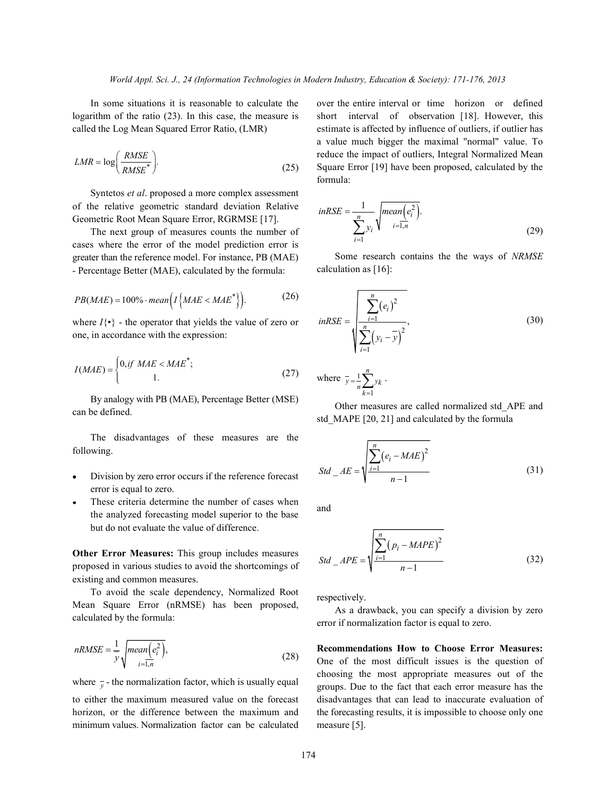logarithm of the ratio (23). In this case, the measure is called the Log Mean Squared Error Ratio, (LMR)

$$
LMR = \log\left(\frac{RMSE}{RMSE^*}\right).
$$
\n(25)

Syntetos *et al*. proposed a more complex assessment of the relative geometric standard deviation Relative Geometric Root Mean Square Error, RGRMSE [17].

The next group of measures counts the number of cases where the error of the model prediction error is greater than the reference model. For instance, PB (MAE) - Percentage Better (MAE), calculated by the formula:

$$
PB(MAE) = 100\% \cdot mean \Big( I \Big\{ MAE < MAE^* \Big\} \Big). \tag{26}
$$

where  $I\{\cdot\}$  - the operator that yields the value of zero or one, in accordance with the expression:

$$
I(MAE) = \begin{cases} 0, & \text{if } MAE < MAE^*; \\ 1. < \end{cases} \tag{27}
$$

By analogy with PB (MAE), Percentage Better (MSE) can be defined.

The disadvantages of these measures are the following.

- Division by zero error occurs if the reference forecast error is equal to zero.
- These criteria determine the number of cases when the analyzed forecasting model superior to the base but do not evaluate the value of difference.

**Other Error Measures:** This group includes measures proposed in various studies to avoid the shortcomings of existing and common measures.

To avoid the scale dependency, Normalized Root Mean Square Error (nRMSE) has been proposed, calculated by the formula:

$$
nRMSE = \frac{1}{y} \sqrt{mean(e_i^2)},
$$
\n(28)

where  $\bar{y}$  - the normalization factor, which is usually equal

to either the maximum measured value on the forecast horizon, or the difference between the maximum and minimum values. Normalization factor can be calculated

In some situations it is reasonable to calculate the over the entire interval or time horizon or defined short interval of observation [18]. However, this estimate is affected by influence of outliers, if outlier has a value much bigger the maximal "normal" value. To reduce the impact of outliers, Integral Normalized Mean Square Error [19] have been proposed, calculated by the formula:

$$
inRSE = \frac{1}{\sum_{i=1}^{n} y_i} \sqrt{mean\left(e_i^2\right)}.
$$
\n(29)

Some research contains the the ways of *NRMSE* calculation as [16]:

$$
inRSE = \sqrt{\sum_{i=1}^{n} (e_i)^2 \over \sum_{i=1}^{n} (y_i - \overline{y})^2},
$$
\nwhere  $\overline{y} = \frac{1}{n} \sum_{k=1}^{n} y_k$ .

\n(30)

Other measures are called normalized std\_APE and std\_MAPE [20, 21] and calculated by the formula

$$
Std\_AE = \sqrt{\frac{\sum_{i=1}^{n} (e_i - MAE)^2}{n-1}}
$$
(31)

and

$$
Std\_APE = \sqrt{\frac{\sum_{i=1}^{n} (p_i - MAPE)^2}{n-1}}
$$
(32)

respectively.

As a drawback, you can specify a division by zero error if normalization factor is equal to zero.

**Recommendations How to Choose Error Measures:** One of the most difficult issues is the question of choosing the most appropriate measures out of the groups. Due to the fact that each error measure has the disadvantages that can lead to inaccurate evaluation of the forecasting results, it is impossible to choose only one measure [5].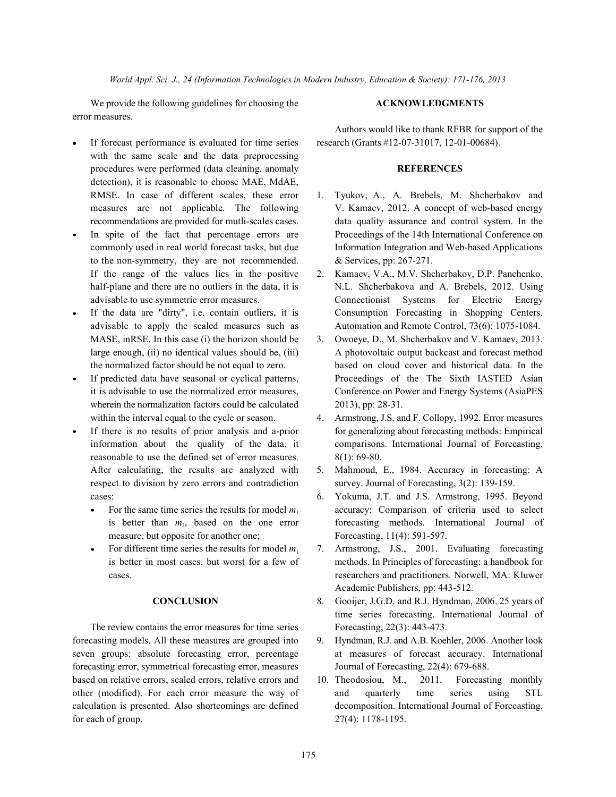*World Appl. Sci. J., 24 (Information Technologies in Modern Industry, Education & Society): 171-176, 2013*

We provide the following guidelines for choosing the **ACKNOWLEDGMENTS** error measures.

Authors would like to thank RFBR for support of the

- measures are not applicable. The following V. Kamaev, 2012. A concept of web-based energy recommendations are provided for mutli-scales cases. data quality assurance and control system. In the In spite of the fact that percentage errors are Proceedings of the 14th International Conference on commonly used in real world forecast tasks, but due Information Integration and Web-based Applications
- half-plane and there are no outliers in the data, it is N.L. Shcherbakova and A. Brebels, 2012. Using advisable to use symmetric error measures. Connectionist Systems for Electric Energy If the data are "dirty", i.e. contain outliers, it is Consumption Forecasting in Shopping Centers. advisable to apply the scaled measures such as Automation and Remote Control, 73(6): 1075-1084.
- MASE, inRSE. In this case (i) the horizon should be 3. Owoeye, D., M. Shcherbakov and V. Kamaev, 2013. large enough, (ii) no identical values should be, (iii) A photovoltaic output backcast and forecast method the normalized factor should be not equal to zero. based on cloud cover and historical data. In the If predicted data have seasonal or cyclical patterns, Proceedings of the The Sixth IASTED Asian it is advisable to use the normalized error measures, Conference on Power and Energy Systems (AsiaPES
- within the interval equal to the cycle or season. 4. Armstrong, J.S. and F. Collopy, 1992. Error measures If there is no results of prior analysis and a-prior for generalizing about forecasting methods: Empirical information about the quality of the data, it comparisons. International Journal of Forecasting,
- After calculating, the results are analyzed with 5. Mahmoud, E., 1984. Accuracy in forecasting: A
	- For the same time series the results for model  $m_1$  accuracy: Comparison of criteria used to select is better than  $m_2$ , based on the one error forecasting methods. International Journal of
	- For different time series the results for model  $m_1$  7. Armstrong, J.S., 2001. Evaluating forecasting is better in most cases, but worst for a few of methods. In Principles of forecasting: a handbook for cases. researchers and practitioners. Norwell, MA: Kluwer Academic Publishers, pp: 443-512.
		- **CONCLUSION** 8. Gooijer, J.G.D. and R.J. Hyndman, 2006. 25 years of time series forecasting. International Journal of
			-
			-

If forecast performance is evaluated for time series research (Grants #12-07-31017, 12-01-00684). with the same scale and the data preprocessing procedures were performed (data cleaning, anomaly **REFERENCES** detection), it is reasonable to choose MAE, MdAE, RMSE. In case of different scales, these error 1. Tyukov, A., A. Brebels, M. Shcherbakov and

- to the non-symmetry, they are not recommended. & Services, pp: 267-271. If the range of the values lies in the positive 2. Kamaev, V.A., M.V. Shcherbakov, D.P. Panchenko,
- 
- wherein the normalization factors could be calculated 2013), pp: 28-31.
- reasonable to use the defined set of error measures. 8(1): 69-80. respect to division by zero errors and contradiction survey. Journal of Forecasting, 3(2): 139-159. cases: 6. Yokuma, J.T. and J.S. Armstrong, 1995. Beyond
	- measure, but opposite for another one; Forecasting, 11(4): 591-597.
	-

The review contains the error measures for time series Forecasting, 22(3): 443-473. forecasting models. All these measures are grouped into 9. Hyndman, R.J. and A.B. Koehler, 2006. Another look seven groups: absolute forecasting error, percentage at measures of forecast accuracy. International forecasting error, symmetrical forecasting error, measures Journal of Forecasting, 22(4): 679-688. based on relative errors, scaled errors, relative errors and 10. Theodosiou, M., 2011. Forecasting monthly other (modified). For each error measure the way of and quarterly time series using STL calculation is presented. Also shortcomings are defined decomposition. International Journal of Forecasting, for each of group. 27(4): 1178-1195.